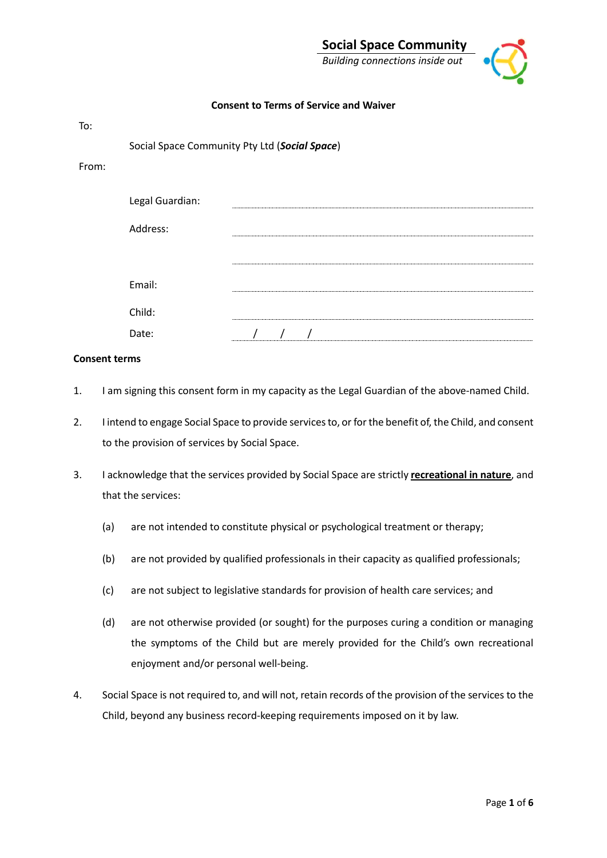### **Consent to Terms of Service and Waiver**

| To:   |                 |                                               |
|-------|-----------------|-----------------------------------------------|
|       |                 | Social Space Community Pty Ltd (Social Space) |
| From: |                 |                                               |
|       | Legal Guardian: |                                               |
|       | Address:        |                                               |
|       |                 |                                               |
|       | Email:          |                                               |
|       | Child:          |                                               |
|       | Date:           |                                               |

#### **Consent terms**

- 1. I am signing this consent form in my capacity as the Legal Guardian of the above-named Child.
- 2. I intend to engage Social Space to provide services to, or for the benefit of, the Child, and consent to the provision of services by Social Space.
- 3. I acknowledge that the services provided by Social Space are strictly **recreational in nature**, and that the services:
	- (a) are not intended to constitute physical or psychological treatment or therapy;
	- (b) are not provided by qualified professionals in their capacity as qualified professionals;
	- (c) are not subject to legislative standards for provision of health care services; and
	- (d) are not otherwise provided (or sought) for the purposes curing a condition or managing the symptoms of the Child but are merely provided for the Child's own recreational enjoyment and/or personal well-being.
- 4. Social Space is not required to, and will not, retain records of the provision of the services to the Child, beyond any business record-keeping requirements imposed on it by law.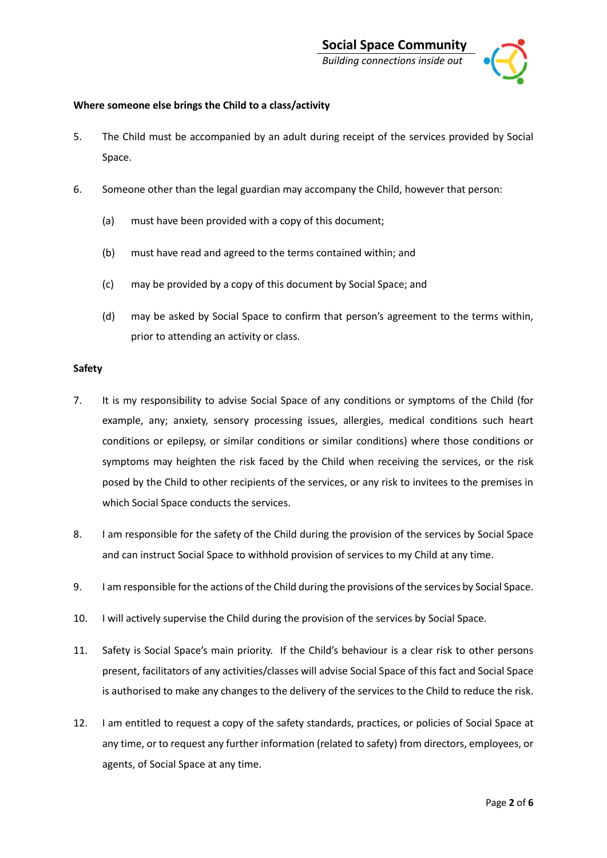

# **Where someone else brings the Child to a class/activity**

- 5. The Child must be accompanied by an adult during receipt of the services provided by Social Space.
- 6. Someone other than the legal guardian may accompany the Child, however that person:
	- (a) must have been provided with a copy of this document;
	- (b) must have read and agreed to the terms contained within; and
	- (c) may be provided by a copy of this document by Social Space; and
	- (d) may be asked by Social Space to confirm that person's agreement to the terms within, prior to attending an activity or class.

#### **Safety**

- 7. It is my responsibility to advise Social Space of any conditions or symptoms of the Child (for example, any; anxiety, sensory processing issues, allergies, medical conditions such heart conditions or epilepsy, or similar conditions or similar conditions) where those conditions or symptoms may heighten the risk faced by the Child when receiving the services, or the risk posed by the Child to other recipients of the services, or any risk to invitees to the premises in which Social Space conducts the services.
- 8. I am responsible for the safety of the Child during the provision of the services by Social Space and can instruct Social Space to withhold provision of services to my Child at any time.
- 9. I am responsible for the actions of the Child during the provisions of the services by Social Space.
- 10. I will actively supervise the Child during the provision of the services by Social Space.
- 11. Safety is Social Space's main priority. If the Child's behaviour is a clear risk to other persons present, facilitators of any activities/classes will advise Social Space of this fact and Social Space is authorised to make any changes to the delivery of the services to the Child to reduce the risk.
- 12. I am entitled to request a copy of the safety standards, practices, or policies of Social Space at any time, or to request any further information (related to safety) from directors, employees, or agents, of Social Space at any time.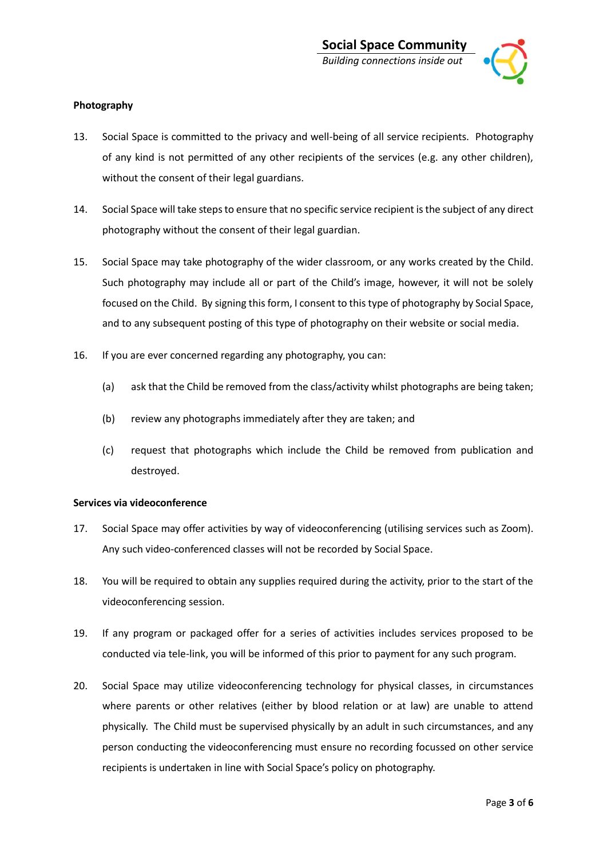

# **Photography**

- 13. Social Space is committed to the privacy and well-being of all service recipients. Photography of any kind is not permitted of any other recipients of the services (e.g. any other children), without the consent of their legal guardians.
- 14. Social Space will take steps to ensure that no specific service recipient is the subject of any direct photography without the consent of their legal guardian.
- 15. Social Space may take photography of the wider classroom, or any works created by the Child. Such photography may include all or part of the Child's image, however, it will not be solely focused on the Child. By signing this form, I consent to this type of photography by Social Space, and to any subsequent posting of this type of photography on their website or social media.
- 16. If you are ever concerned regarding any photography, you can:
	- (a) ask that the Child be removed from the class/activity whilst photographs are being taken;
	- (b) review any photographs immediately after they are taken; and
	- (c) request that photographs which include the Child be removed from publication and destroyed.

# **Services via videoconference**

- 17. Social Space may offer activities by way of videoconferencing (utilising services such as Zoom). Any such video-conferenced classes will not be recorded by Social Space.
- 18. You will be required to obtain any supplies required during the activity, prior to the start of the videoconferencing session.
- 19. If any program or packaged offer for a series of activities includes services proposed to be conducted via tele-link, you will be informed of this prior to payment for any such program.
- 20. Social Space may utilize videoconferencing technology for physical classes, in circumstances where parents or other relatives (either by blood relation or at law) are unable to attend physically. The Child must be supervised physically by an adult in such circumstances, and any person conducting the videoconferencing must ensure no recording focussed on other service recipients is undertaken in line with Social Space's policy on photography.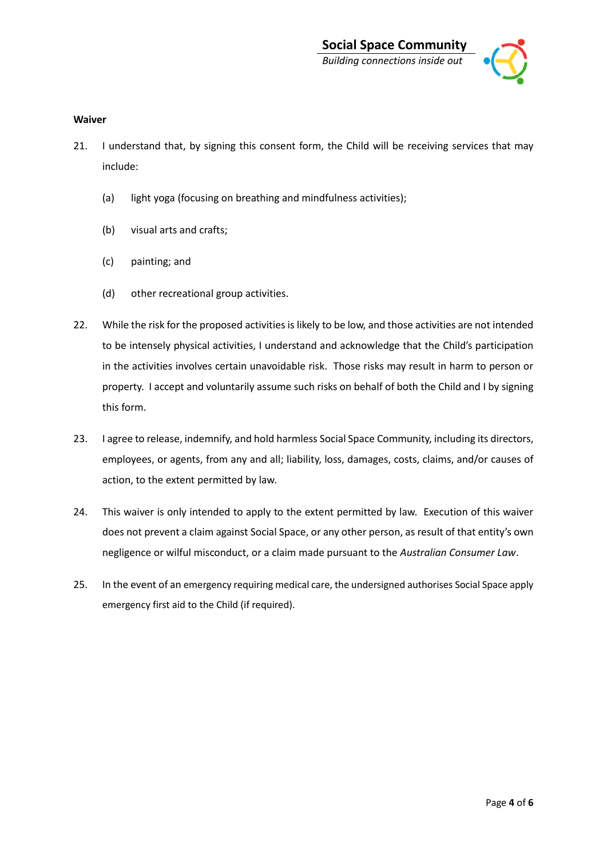

### **Waiver**

- 21. I understand that, by signing this consent form, the Child will be receiving services that may include:
	- (a) light yoga (focusing on breathing and mindfulness activities);
	- (b) visual arts and crafts;
	- (c) painting; and
	- (d) other recreational group activities.
- 22. While the risk for the proposed activities is likely to be low, and those activities are not intended to be intensely physical activities, I understand and acknowledge that the Child's participation in the activities involves certain unavoidable risk. Those risks may result in harm to person or property. I accept and voluntarily assume such risks on behalf of both the Child and I by signing this form.
- 23. I agree to release, indemnify, and hold harmless Social Space Community, including its directors, employees, or agents, from any and all; liability, loss, damages, costs, claims, and/or causes of action, to the extent permitted by law.
- 24. This waiver is only intended to apply to the extent permitted by law. Execution of this waiver does not prevent a claim against Social Space, or any other person, as result of that entity's own negligence or wilful misconduct, or a claim made pursuant to the *Australian Consumer Law*.
- 25. In the event of an emergency requiring medical care, the undersigned authorises Social Space apply emergency first aid to the Child (if required).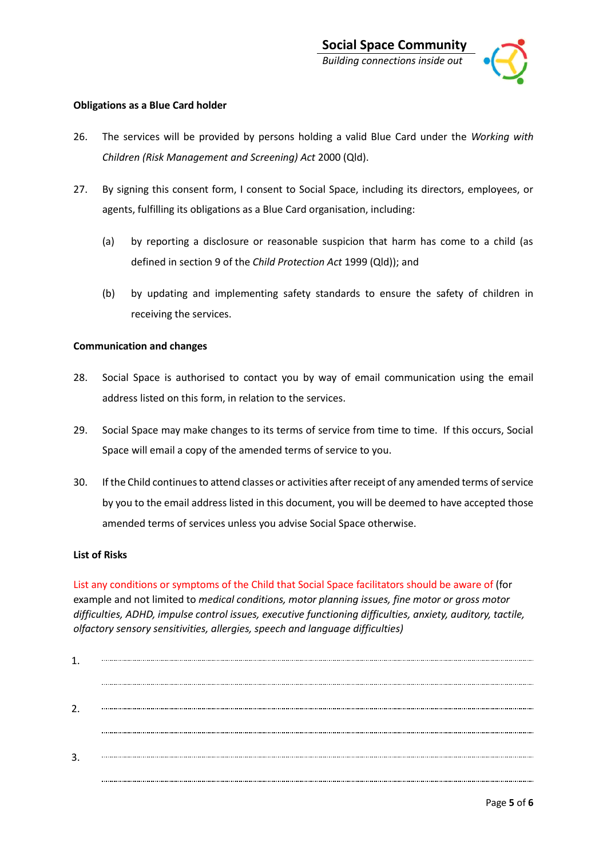

# **Obligations as a Blue Card holder**

- 26. The services will be provided by persons holding a valid Blue Card under the *Working with Children (Risk Management and Screening) Act* 2000 (Qld).
- 27. By signing this consent form, I consent to Social Space, including its directors, employees, or agents, fulfilling its obligations as a Blue Card organisation, including:
	- (a) by reporting a disclosure or reasonable suspicion that harm has come to a child (as defined in section 9 of the *Child Protection Act* 1999 (Qld)); and
	- (b) by updating and implementing safety standards to ensure the safety of children in receiving the services.

# **Communication and changes**

- 28. Social Space is authorised to contact you by way of email communication using the email address listed on this form, in relation to the services.
- 29. Social Space may make changes to its terms of service from time to time. If this occurs, Social Space will email a copy of the amended terms of service to you.
- 30. If the Child continues to attend classes or activities after receipt of any amended terms of service by you to the email address listed in this document, you will be deemed to have accepted those amended terms of services unless you advise Social Space otherwise.

# **List of Risks**

List any conditions or symptoms of the Child that Social Space facilitators should be aware of (for example and not limited to *medical conditions, motor planning issues, fine motor or gross motor difficulties, ADHD, impulse control issues, executive functioning difficulties, anxiety, auditory, tactile, olfactory sensory sensitivities, allergies, speech and language difficulties)*

| 3. |  |
|----|--|
|    |  |